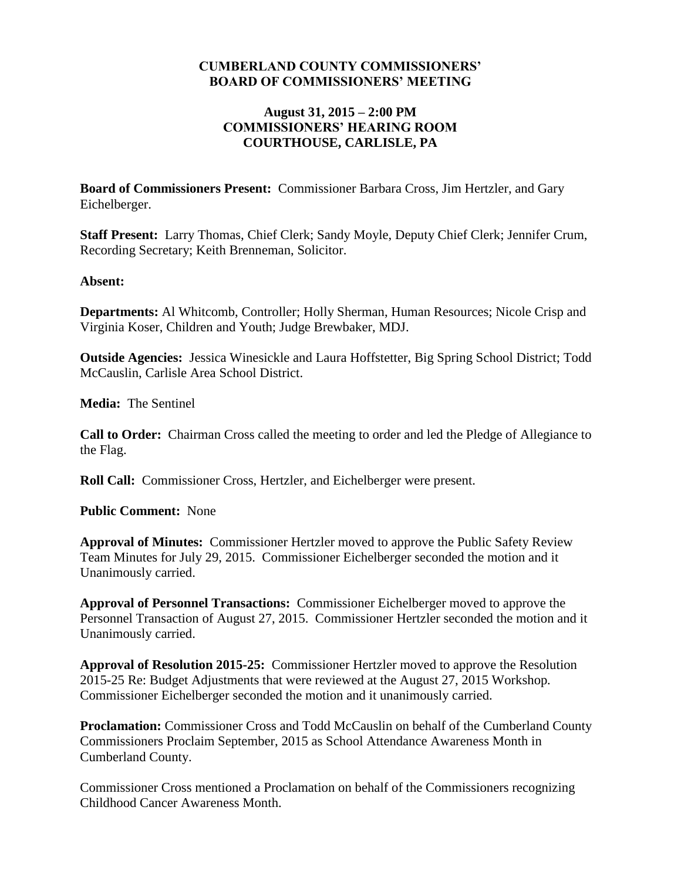#### **CUMBERLAND COUNTY COMMISSIONERS' BOARD OF COMMISSIONERS' MEETING**

#### **August 31, 2015 – 2:00 PM COMMISSIONERS' HEARING ROOM COURTHOUSE, CARLISLE, PA**

**Board of Commissioners Present:** Commissioner Barbara Cross, Jim Hertzler, and Gary Eichelberger.

**Staff Present:** Larry Thomas, Chief Clerk; Sandy Moyle, Deputy Chief Clerk; Jennifer Crum, Recording Secretary; Keith Brenneman, Solicitor.

#### **Absent:**

**Departments:** Al Whitcomb, Controller; Holly Sherman, Human Resources; Nicole Crisp and Virginia Koser, Children and Youth; Judge Brewbaker, MDJ.

**Outside Agencies:** Jessica Winesickle and Laura Hoffstetter, Big Spring School District; Todd McCauslin, Carlisle Area School District.

**Media:** The Sentinel

**Call to Order:** Chairman Cross called the meeting to order and led the Pledge of Allegiance to the Flag.

**Roll Call:** Commissioner Cross, Hertzler, and Eichelberger were present.

**Public Comment:** None

**Approval of Minutes:** Commissioner Hertzler moved to approve the Public Safety Review Team Minutes for July 29, 2015. Commissioner Eichelberger seconded the motion and it Unanimously carried.

**Approval of Personnel Transactions:** Commissioner Eichelberger moved to approve the Personnel Transaction of August 27, 2015. Commissioner Hertzler seconded the motion and it Unanimously carried.

**Approval of Resolution 2015-25:** Commissioner Hertzler moved to approve the Resolution 2015-25 Re: Budget Adjustments that were reviewed at the August 27, 2015 Workshop*.* Commissioner Eichelberger seconded the motion and it unanimously carried.

**Proclamation:** Commissioner Cross and Todd McCauslin on behalf of the Cumberland County Commissioners Proclaim September, 2015 as School Attendance Awareness Month in Cumberland County.

Commissioner Cross mentioned a Proclamation on behalf of the Commissioners recognizing Childhood Cancer Awareness Month.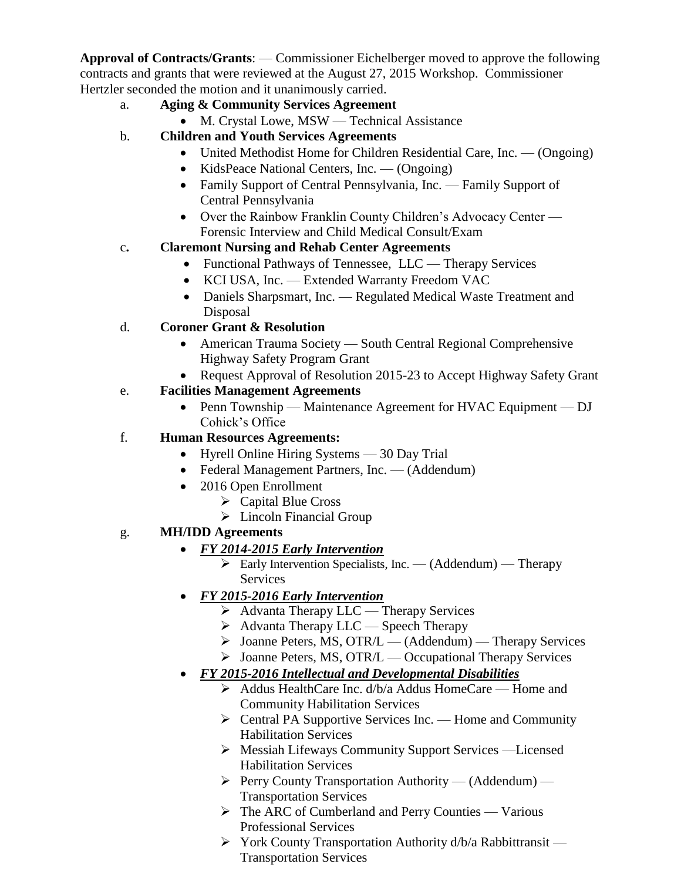**Approval of Contracts/Grants**: — Commissioner Eichelberger moved to approve the following contracts and grants that were reviewed at the August 27, 2015 Workshop. Commissioner Hertzler seconded the motion and it unanimously carried.

- a. **Aging & Community Services Agreement**
	- M. Crystal Lowe, MSW Technical Assistance
- b. **Children and Youth Services Agreements**
	- United Methodist Home for Children Residential Care, Inc. (Ongoing)
	- KidsPeace National Centers, Inc. (Ongoing)
	- Family Support of Central Pennsylvania, Inc. Family Support of Central Pennsylvania
	- Over the Rainbow Franklin County Children's Advocacy Center Forensic Interview and Child Medical Consult/Exam

### c**. Claremont Nursing and Rehab Center Agreements**

- Functional Pathways of Tennessee, LLC Therapy Services
- KCI USA, Inc. Extended Warranty Freedom VAC
- Daniels Sharpsmart, Inc. Regulated Medical Waste Treatment and Disposal

# d. **Coroner Grant & Resolution**

- American Trauma Society South Central Regional Comprehensive Highway Safety Program Grant
- Request Approval of Resolution 2015-23 to Accept Highway Safety Grant

# e. **Facilities Management Agreements**

• Penn Township — Maintenance Agreement for HVAC Equipment — DJ Cohick's Office

### f. **Human Resources Agreements:**

- Hyrell Online Hiring Systems 30 Day Trial
- Federal Management Partners, Inc. (Addendum)
- 2016 Open Enrollment
	- $\triangleright$  Capital Blue Cross
	- $\triangleright$  Lincoln Financial Group

# g. **MH/IDD Agreements**

# *FY 2014-2015 Early Intervention*

 $\triangleright$  Early Intervention Specialists, Inc. — (Addendum) — Therapy **Services** 

# *FY 2015-2016 Early Intervention*

- Advanta Therapy LLC Therapy Services
- $\triangleright$  Advanta Therapy LLC Speech Therapy
- $\triangleright$  Joanne Peters, MS, OTR/L (Addendum) Therapy Services
- > Joanne Peters, MS, OTR/L Occupational Therapy Services

# *FY 2015-2016 Intellectual and Developmental Disabilities*

- Addus HealthCare Inc. d/b/a Addus HomeCare Home and Community Habilitation Services
- $\triangleright$  Central PA Supportive Services Inc. Home and Community Habilitation Services
- Messiah Lifeways Community Support Services —Licensed Habilitation Services
- $\triangleright$  Perry County Transportation Authority (Addendum) Transportation Services
- The ARC of Cumberland and Perry Counties Various Professional Services
- $\triangleright$  York County Transportation Authority d/b/a Rabbittransit Transportation Services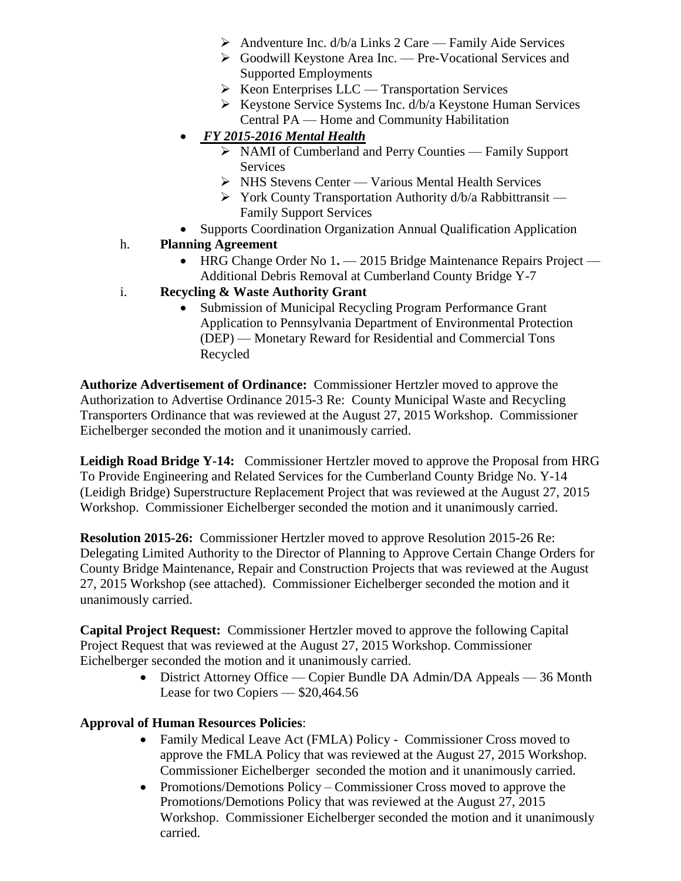- $\triangleright$  Andventure Inc. d/b/a Links 2 Care Family Aide Services
- Goodwill Keystone Area Inc. Pre-Vocational Services and Supported Employments
- $\triangleright$  Keon Enterprises LLC Transportation Services
- $\triangleright$  Keystone Service Systems Inc. d/b/a Keystone Human Services Central PA — Home and Community Habilitation
- *FY 2015-2016 Mental Health*
	- NAMI of Cumberland and Perry Counties Family Support Services
	- $\triangleright$  NHS Stevens Center Various Mental Health Services
	- $\triangleright$  York County Transportation Authority d/b/a Rabbittransit Family Support Services
- Supports Coordination Organization Annual Qualification Application

#### h. **Planning Agreement**

• HRG Change Order No 1. — 2015 Bridge Maintenance Repairs Project — Additional Debris Removal at Cumberland County Bridge Y-7

#### i. **Recycling & Waste Authority Grant**

• Submission of Municipal Recycling Program Performance Grant Application to Pennsylvania Department of Environmental Protection (DEP) — Monetary Reward for Residential and Commercial Tons Recycled

**Authorize Advertisement of Ordinance:** Commissioner Hertzler moved to approve the Authorization to Advertise Ordinance 2015-3 Re: County Municipal Waste and Recycling Transporters Ordinance that was reviewed at the August 27, 2015 Workshop. Commissioner Eichelberger seconded the motion and it unanimously carried.

**Leidigh Road Bridge Y-14:** Commissioner Hertzler moved to approve the Proposal from HRG To Provide Engineering and Related Services for the Cumberland County Bridge No. Y-14 (Leidigh Bridge) Superstructure Replacement Project that was reviewed at the August 27, 2015 Workshop. Commissioner Eichelberger seconded the motion and it unanimously carried.

**Resolution 2015-26:** Commissioner Hertzler moved to approve Resolution 2015-26 Re: Delegating Limited Authority to the Director of Planning to Approve Certain Change Orders for County Bridge Maintenance, Repair and Construction Projects that was reviewed at the August 27, 2015 Workshop (see attached). Commissioner Eichelberger seconded the motion and it unanimously carried.

**Capital Project Request:** Commissioner Hertzler moved to approve the following Capital Project Request that was reviewed at the August 27, 2015 Workshop. Commissioner Eichelberger seconded the motion and it unanimously carried.

> • District Attorney Office — Copier Bundle DA Admin/DA Appeals — 36 Month Lease for two Copiers — \$20,464.56

#### **Approval of Human Resources Policies**:

- Family Medical Leave Act (FMLA) Policy Commissioner Cross moved to approve the FMLA Policy that was reviewed at the August 27, 2015 Workshop. Commissioner Eichelberger seconded the motion and it unanimously carried.
- Promotions/Demotions Policy Commissioner Cross moved to approve the Promotions/Demotions Policy that was reviewed at the August 27, 2015 Workshop. Commissioner Eichelberger seconded the motion and it unanimously carried.